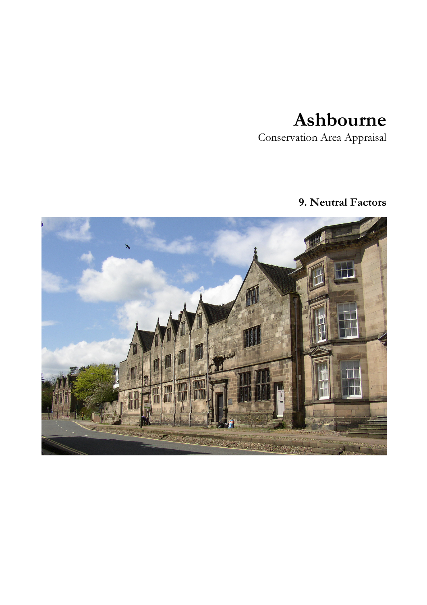## Ashbourne

Conservation Area Appraisal

## 9. Neutral Factors